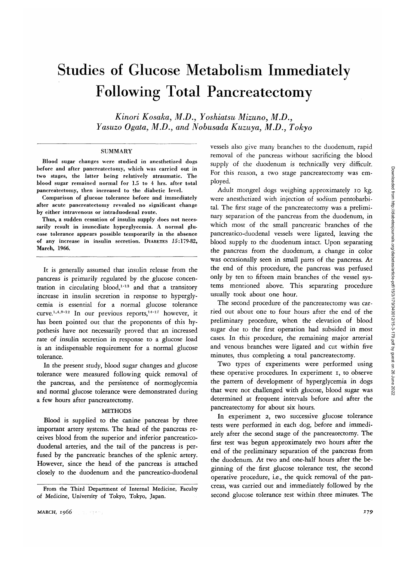# Studies of Glucose Metabolism Immediately Following Total Pancreatectomy

*Kinori Kosaka, M.D., Yoshiatsu Mizuno, M.D., Yasuzo Ogata, M.D., and Nobusada Kuzuya, M.D., Tokyo*

### **SUMMARY**

Blood sugar changes were studied in anesthetized dogs before and after pancreatectomy, which was carried out in two stages, the latter being relatively atraumatic. The blood sugar remained normal for 1.5 to 4 hrs. after total pancreatectomy, then increased to the diabetic level.

Comparison of glucose tolerance before and immediately after acute pancreatectomy revealed no significant change by either intravenous or intraduodenal route.

Thus, a sudden cessation of insulin supply does not necessarily result in immediate hyperglycemia. A normal glucose tolerance appears possible temporarily in the absence of any increase in insulin secretion. DIABETES 15:179-82, March, 1966.

It is generally assumed that insulin release from the pancreas is primarily regulated by the glucose concentration in circulating blood,<sup>1-13</sup> and that a transitory increase in insulin secretion in response to hyperglycemia is essential for a normal glucose tolerance curve.<sup>1,4,9-12</sup> In our previous reports,<sup>14-17</sup> however, it has been pointed out that the proponents of this hypothesis have not necessarily proved that an increased rate of insulin secretion in response to a glucose load is an indispensable requirement for a normal glucose tolerance.

In the present study, blood sugar changes and glucose tolerance were measured following quick removal of the pancreas, and the persistence of normoglycemia and normal glucose tolerance were demonstrated during a few hours after pancreatectomy.

## METHODS

Blood is supplied to the canine pancreas by three important artery systems. The head of the pancreas receives blood from the superior and inferior pancreaticoduodenal arteries, and the tail of the pancreas is perfused by the pancreatic branches of the splenic artery. However, since the head of the pancreas is attached closely to the duodenum and the pancreatico-duodenal

vessels also give many branches to the duodenum, rapid removal of the pancreas without sacrificing the blood supply of the duodenum is technically very difficult. For this reason, a two stage pancreatectomy was employed.

Adult mongrel dogs weighing approximately io kg. were anesthetized with injection of sodium pentobarbital. The first stage of the pancreatectomy was a preliminary separation of the pancreas from the duodenum, in which most of the small pancreatic branches of the pancreatico-duodenal vessels were ligated, leaving the blood supply to the duodenum intact. Upon separating the pancreas from the duodenum, a change in color was occasionally seen in small parts of the pancreas. At the end of this procedure, the pancreas was perfused only by ten to fifteen main branches of the vessel systems mentioned above. This separating procedure usually took about one hour.

The second procedure of the pancreatectomy was carried out about one to four hours after the end of the preliminary procedure, when the elevation of blood sugar due to the first operation had subsided in most cases. In this procedure, the remaining major arterial and venous branches were ligated and cut within five minutes, thus completing a total pancreatectomy.

Two types of experiments were performed using these operative procedures. In experiment i, to observe the pattern of development of hyperglycemia in dogs that were not challenged with glucose, blood sugar was determined at frequent intervals before and after the pancreatectomy for about six hours.

In experiment 2, two successive glucose tolerance tests were performed in each dog, before and immediately after the second stage of the pancreatectomy. The first test was begun approximately two hours after the end of the preliminary separation of the pancreas from the duodenum. At two and one-half hours after the beginning of the first glucose tolerance test, the second operative procedure, i.e., the quick removal of the pancreas, was carried out and immediately followed by the second glucose tolerance test within three minutes. The

From the Third Department of Internal Medicine, Faculty of Medicine, University of Tokyo, Tokyo, Japan.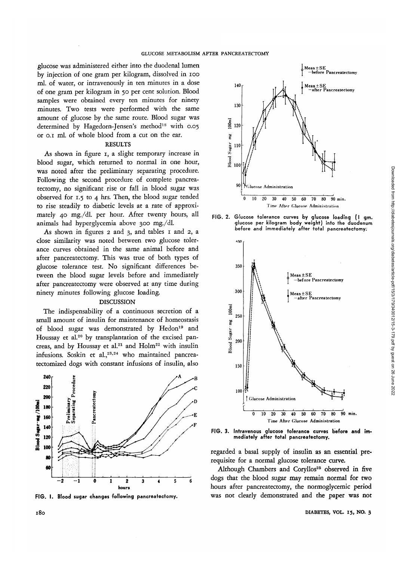glucose was administered either into the duodenal lumen by injection of one gram per kilogram, dissolved in ioo ml. of water, or intravenously in ten minutes in a dose of one gram per kilogram in 50 per cent solution. Blood samples were obtained every ten minutes for ninety minutes. Two tests were performed with the same amount of glucose by the same route. Blood sugar was determined by Hagedorn-Jensen's method<sup>18</sup> with 0.05 or 0.1 ml. of whole blood from a cut on the ear.

#### RESULTS

As shown in figure 1, a slight temporary increase in blood sugar, which returned to normal in one hour, was noted after the preliminary separating procedure. Following the second procedure of complete pancreatectomy, no significant rise or fall in blood sugar was observed for 1.5 to 4 hrs. Then, the blood sugar tended to rise steadily to diabetic levels at a rate of approximately 40 mg./dl. per hour. After twenty hours, all animals had hyperglycemia above 300 mg./dl.

As shown in figures 2 and 3, and tables 1 and 2, a close similarity was noted between two glucose tolerance curves obtained in the same animal before and after pancreatectomy. This was true of both types of glucose tolerance test. No significant differences between the blood sugar levels before and immediately after pancreatectomy were observed at any time during ninety minutes following glucose loading.

#### DISCUSSION

The indispensability of a continuous secretion of a small amount of insulin for maintenance of homeostasis of blood sugar was demonstrated by Hedon<sup>19</sup> and Houssay et al.<sup>20</sup> by transplantation of the excised pancreas, and by Houssay et al.<sup>21</sup> and Holm<sup>22</sup> with insulin infusions. Soskin et al.,<sup>23,24</sup> who maintained pancreatectomized dogs with constant infusions of insulin, also



**FIG. I. Blood sugar changes following pancreatectomy.**



FIG. **2.** Glucose tolerance curves by glucose loading [I gm. glucose per kilogram body weight) into the duodenum before and immediately after total pancreatectomy;



**FIG. 3. Intravenous glucose tolerance curves before and immediately after total pancreatectomy.**

regarded a basal supply of insulin as an essential prerequisite for a normal glucose tolerance curve.

Although Chambers and Coryllos<sup>25</sup> observed in five dogs that the blood sugar may remain normal for two hours after pancreatectomy, the normoglycemic period was not clearly demonstrated and the paper was not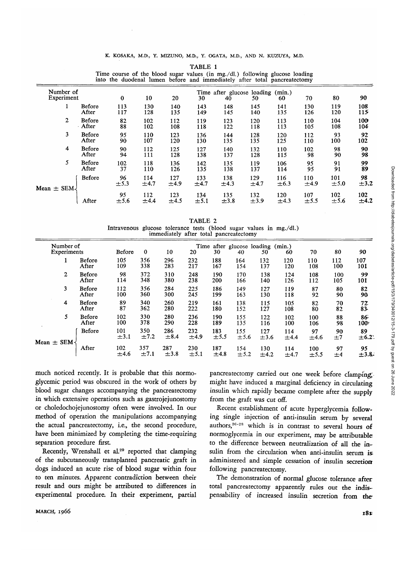|                     |                         |                         | Time course of the blood sugar values (in mg./dl.) following glucose loading<br>into the duodenal lumen before and immediately after total pancreatectomy |                  |                  |                  |                  |                                  |                  |                  |             |                  |
|---------------------|-------------------------|-------------------------|-----------------------------------------------------------------------------------------------------------------------------------------------------------|------------------|------------------|------------------|------------------|----------------------------------|------------------|------------------|-------------|------------------|
|                     | Number of<br>Experiment |                         | $\bf{0}$                                                                                                                                                  | 10               | 20               | 30               | 40               | Time after glucose loading<br>50 | (min.)<br>60     | 70               | 80          | 90               |
|                     |                         | Before<br>After         | 113<br>117                                                                                                                                                | 130<br>128       | 140<br>135       | 143<br>149       | 148<br>145       | 145<br>140                       | 141<br>135       | 130<br>126       | 119<br>120  | 108<br>115       |
|                     | $\mathbf{2}$            | Before<br>$\cdot$ After | 82<br>88                                                                                                                                                  | 102<br>102       | 112<br>108       | 119<br>118       | 123<br>122       | 120<br>118                       | 113<br>113       | 110<br>105       | 104<br>108  | 100<br>104       |
|                     | 3                       | <b>Before</b><br>After  | 95<br>90                                                                                                                                                  | 110<br>107       | 123<br>120       | 136<br>130       | 144<br>135       | 128<br>135                       | 120<br>125       | 112<br>110       | 93<br>100   | 92<br>102        |
|                     | 4                       | <b>Before</b><br>After  | 90<br>94                                                                                                                                                  | 112<br>111       | 125<br>128       | 127<br>138       | 140<br>137       | 132<br>128                       | 110<br>115       | 102<br>98        | 98<br>90    | 90<br>98         |
|                     | 5                       | Before<br>After         | 102<br>37                                                                                                                                                 | 118<br>110       | 136<br>126       | 142<br>135       | 135<br>138       | 119<br>137                       | 106<br>114       | 95<br>95         | 91<br>91    | 99<br>89         |
| $Mean + SEM \angle$ |                         | Before                  | 96<br>$\pm$ 5.3                                                                                                                                           | 114<br>$\pm 4.7$ | 127<br>±4.9      | 133<br>±4.7      | 138<br>$\pm 4.3$ | 129<br>$\pm 4.7$                 | 116<br>$\pm 6.3$ | 110<br>±4.9      | 101<br>±5.0 | 98<br>$\pm$ 3.2  |
|                     |                         | After                   | 95<br>±5.6                                                                                                                                                | 112<br>±4.4      | 123<br>$\pm 4.5$ | 134<br>$\pm$ 5.1 | 135<br>$\pm 3.8$ | 132<br>$\pm$ 3.9                 | 120<br>$\pm 4.3$ | 107<br>$\pm$ 5.5 | 102<br>±5.6 | 102<br>$\pm 4.2$ |

|  |  |  |  |  |  |  |  |  |  | K. KOSAKA, M.D., Y. MIZUNO, M.D., Y. OGATA, M.D., AND N. KUZUYA, M.D. |  |
|--|--|--|--|--|--|--|--|--|--|-----------------------------------------------------------------------|--|
|--|--|--|--|--|--|--|--|--|--|-----------------------------------------------------------------------|--|

TABLE 1

|                                                                     | TABLE 2 |                                        |  |  |  |  |  |  |  |  |  |
|---------------------------------------------------------------------|---------|----------------------------------------|--|--|--|--|--|--|--|--|--|
| Intravenous glucose tolerance tests (blood sugar values in mg./dl.) |         |                                        |  |  |  |  |  |  |  |  |  |
|                                                                     |         | immediately after total pancreatectomy |  |  |  |  |  |  |  |  |  |

| Number of<br>Experiments       |               | Time after glucose loading (min.)<br>90<br>80<br>Before<br>$\bf{0}$<br>10<br>30<br>20<br>70<br>40<br>50<br>60 |             |                  |             |                  |             |                  |             |                 |          |                  |
|--------------------------------|---------------|---------------------------------------------------------------------------------------------------------------|-------------|------------------|-------------|------------------|-------------|------------------|-------------|-----------------|----------|------------------|
|                                | <b>Before</b> | 105                                                                                                           | 356         | 296              | 232         | 188              | 164         | 132              | 120         | 110             | 112      | 107              |
|                                | After         | 109                                                                                                           | 338         | 283              | 217         | 167              | 154         | 137              | 120         | 108             | 100      | 101              |
| $\mathbf{2}$                   | Before        | 98                                                                                                            | 372         | 310              | 248         | 190              | 170         | 138              | 124         | 108             | 100      | 99               |
|                                | After         | 114                                                                                                           | 348         | 380              | 238         | 200              | 166         | 140              | 126         | 112             | 105      | 101              |
| 3                              | Before        | 112                                                                                                           | 356         | 284              | 225         | 186              | 149         | 127              | 119         | 87              | 80       | 82               |
|                                | After         | 100                                                                                                           | 360         | 300              | 245         | 199              | 163         | 130              | 118         | 92              | 90       | 90               |
| 4                              | Before        | 89                                                                                                            | 340         | 260              | 219         | 161              | 138         | 115              | 105         | 82              | 70       | 72               |
|                                | After         | 87                                                                                                            | 362         | 280              | 222         | 180              | 152         | 127              | 108         | 80              | 82       | 83               |
| 5.                             | Before        | 102                                                                                                           | 330         | 280              | 236         | 190              | 155         | 122              | 102         | 100             | 88       | 86               |
|                                | After         | 100                                                                                                           | 378         | 290              | 228         | 189              | 135         | 116              | 100         | 106             | 98       | 100 <sup>1</sup> |
|                                | Before        | 101<br>$\pm 3.1$                                                                                              | 350<br>±7.2 | 286<br>$\pm 8.4$ | 232<br>±4.9 | 183<br>$\pm$ 5.5 | 155<br>±5.6 | 127<br>$\pm$ 3.6 | 114<br>±4.4 | 97<br>$\pm 4.6$ | 90<br>±7 | 89<br>$\pm 6.2$  |
| Mean $\pm$ SEM $\triangleleft$ | After         | 102<br>±4.6                                                                                                   | 357<br>±7.1 | 287<br>$\pm$ 3.8 | 230<br>±5.1 | 187<br>±4.8      | 154<br>±5.2 | 130<br>±4.2      | 114<br>±4.7 | 100<br>±5.5     | 97<br>±4 | 95<br>$\pm 3.8$  |

much noticed recently. It is probable that this normoglycemic period was obscured in the work of others by blood sugar changes accompanying the pancreatectomy in which extensive operations such as gastrojejunostomy or choledochojejunostomy often were involved. In our method of operation the manipulations accompanying the actual pancreatectomy, i.e., the second procedure, have been minimized by completing the time-requiring separation procedure first.

Recently, Wrenshall et al.<sup>29</sup> reported that clamping of the subcutaneously transplanted pancreatic graft in dogs induced an acute rise of blood sugar within four to ten minutes. Apparent contradiction between their result and ours might be attributed to differences in experimental procedure. In their experiment, partial pancreatectomy carried out one week before clamping; might have induced a marginal deficiency in circulating insulin which rapidly became complete after the supply from the graft was cut off.

Recent establishment of acute hyperglycemia following single injection of anti-insulin serum by several authors,<sup>26-28</sup> which is in contrast to several hours of normoglycemia in our experiment, may be attributable to the difference between neutralization of all the insulin from the circulation when anti-insulin serum is administered and simple cessation of insulin secretion following pancreatectomy.

The demonstration of normal glucose tolerance after total pancreatectomy apparently rules out the indispensability of increased insulin secretion from the